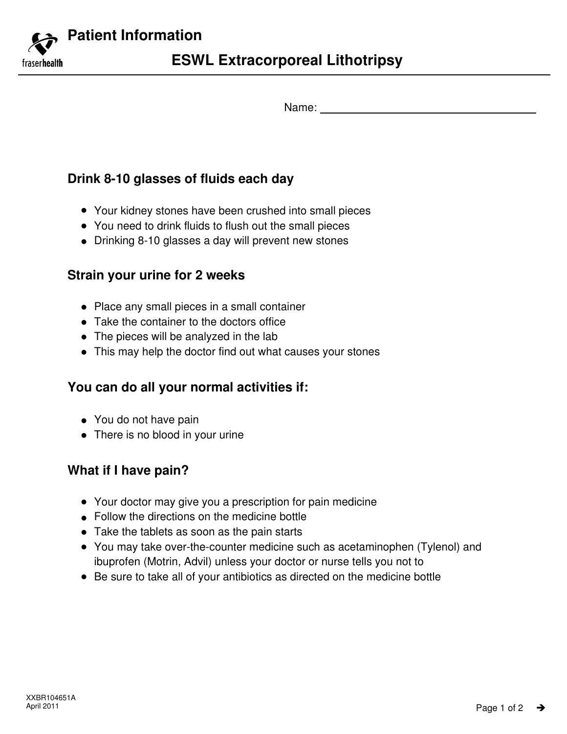**Patient Information**

fraserhealth

Name:

# **Drink 8-10 glasses of fluids each day**

- Your kidney stones have been crushed into small pieces -
- You need to drink fluids to flush out the small pieces
- Drinking 8-10 glasses a day will prevent new stones

#### **Strain your urine for 2 weeks**

- Place any small pieces in a small container
- Take the container to the doctors office
- The pieces will be analyzed in the lab
- This may help the doctor find out what causes your stones

## **You can do all your normal activities if:**

- You do not have pain
- There is no blood in your urine

## **What if I have pain?**

- Your doctor may give you a prescription for pain medicine
- Follow the directions on the medicine bottle -
- Take the tablets as soon as the pain starts
- You may take over-the-counter medicine such as acetaminophen (Tylenol) and ibuprofen (Motrin, Advil) unless your doctor or nurse tells you not to
- Be sure to take all of your antibiotics as directed on the medicine bottle